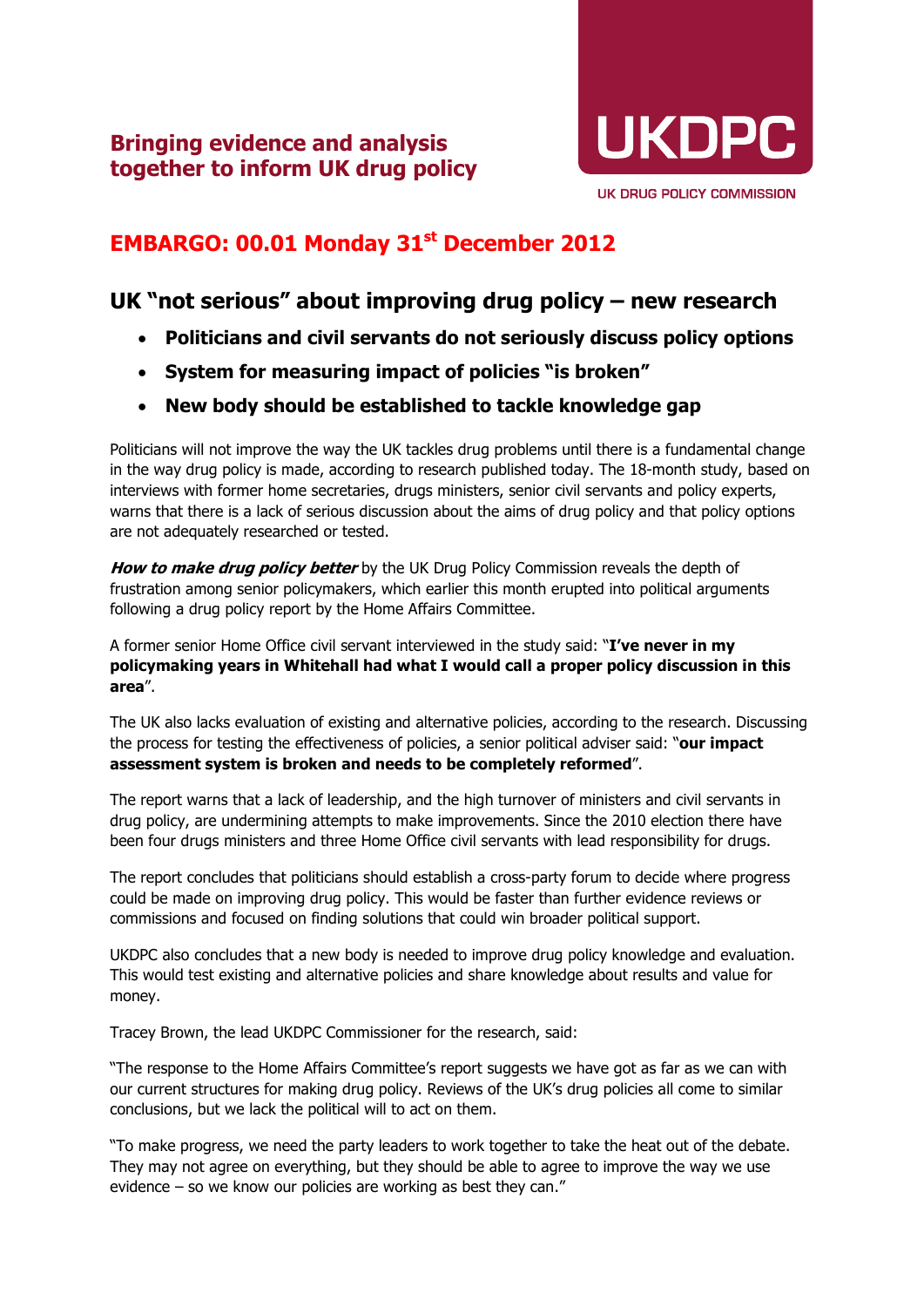

## **EMBARGO: 00.01 Monday 31st December 2012**

## **UK "not serious" about improving drug policy – new research**

- **Politicians and civil servants do not seriously discuss policy options**
- **System for measuring impact of policies "is broken"**
- **New body should be established to tackle knowledge gap**

Politicians will not improve the way the UK tackles drug problems until there is a fundamental change in the way drug policy is made, according to research published today. The 18-month study, based on interviews with former home secretaries, drugs ministers, senior civil servants and policy experts, warns that there is a lack of serious discussion about the aims of drug policy and that policy options are not adequately researched or tested.

**How to make drug policy better** by the UK Drug Policy Commission reveals the depth of frustration among senior policymakers, which earlier this month erupted into political arguments following a drug policy report by the Home Affairs Committee.

A former senior Home Office civil servant interviewed in the study said: "**I've never in my policymaking years in Whitehall had what I would call a proper policy discussion in this area**".

The UK also lacks evaluation of existing and alternative policies, according to the research. Discussing the process for testing the effectiveness of policies, a senior political adviser said: "**our impact assessment system is broken and needs to be completely reformed**".

The report warns that a lack of leadership, and the high turnover of ministers and civil servants in drug policy, are undermining attempts to make improvements. Since the 2010 election there have been four drugs ministers and three Home Office civil servants with lead responsibility for drugs.

The report concludes that politicians should establish a cross-party forum to decide where progress could be made on improving drug policy. This would be faster than further evidence reviews or commissions and focused on finding solutions that could win broader political support.

UKDPC also concludes that a new body is needed to improve drug policy knowledge and evaluation. This would test existing and alternative policies and share knowledge about results and value for money.

Tracey Brown, the lead UKDPC Commissioner for the research, said:

"The response to the Home Affairs Committee's report suggests we have got as far as we can with our current structures for making drug policy. Reviews of the UK's drug policies all come to similar conclusions, but we lack the political will to act on them.

"To make progress, we need the party leaders to work together to take the heat out of the debate. They may not agree on everything, but they should be able to agree to improve the way we use evidence – so we know our policies are working as best they can."